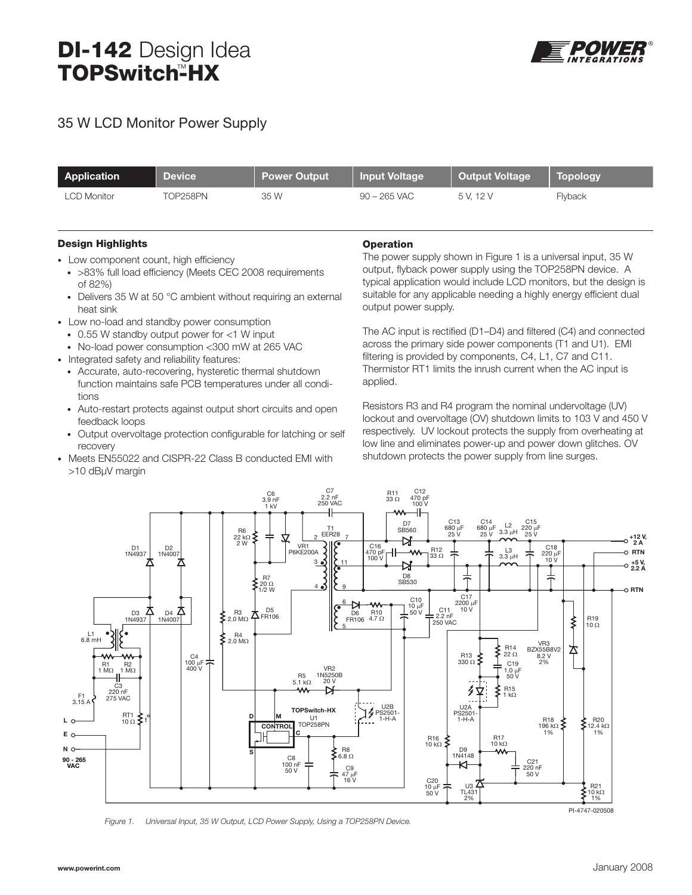# DI-142 Design Idea TOPSwitch<del>"</del>HX



## 35 W LCD Monitor Power Supply

| Application        | <b>Device</b> | <b>Power Output</b> | Input Voltage  | <b>Output Voltage</b> | <b>Topology</b> |
|--------------------|---------------|---------------------|----------------|-----------------------|-----------------|
| <b>LCD Monitor</b> | TOP258PN      | 35 W                | $90 - 265$ VAC | 5 V. 12 V             | Flyback         |

#### Design Highlights

- Low component count, high efficiency
- >83% full load efficiency (Meets CEC 2008 requirements of 82%)
- Delivers 35 W at 50 °C ambient without requiring an external heat sink
- Low no-load and standby power consumption
	- 0.55 W standby output power for <1 W input
	- No-load power consumption <300 mW at 265 VAC
- Integrated safety and reliability features:
	- Accurate, auto-recovering, hysteretic thermal shutdown function maintains safe PCB temperatures under all conditions
	- Auto-restart protects against output short circuits and open feedback loops
	- Output overvoltage protection configurable for latching or self recovery
- Meets EN55022 and CISPR-22 Class B conducted EMI with >10 dBµV margin

#### **Operation**

The power supply shown in Figure 1 is a universal input, 35 W output, flyback power supply using the TOP258PN device. A typical application would include LCD monitors, but the design is suitable for any applicable needing a highly energy efficient dual output power supply.

The AC input is rectified (D1–D4) and filtered (C4) and connected across the primary side power components (T1 and U1). EMI filtering is provided by components, C4, L1, C7 and C11. Thermistor RT1 limits the inrush current when the AC input is applied.

Resistors R3 and R4 program the nominal undervoltage (UV) lockout and overvoltage (OV) shutdown limits to 103 V and 450 V respectively. UV lockout protects the supply from overheating at low line and eliminates power-up and power down glitches. OV shutdown protects the power supply from line surges.



*Figure 1. Universal Input, 35 W Output, LCD Power Supply, Using a TOP258PN Device.*